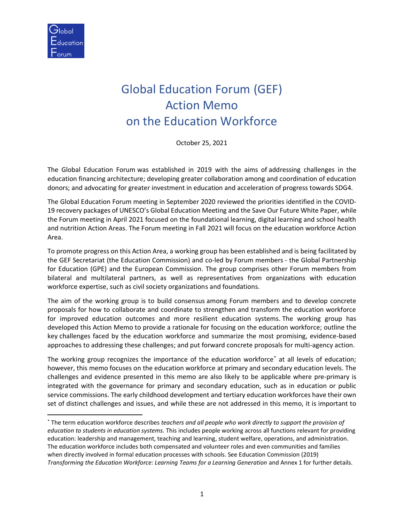

# Global Education Forum (GEF) Action Memo on the Education Workforce

October 25, 2021

The Global Education Forum was established in 2019 with the aims of addressing challenges in the education financing architecture; developing greater collaboration among and coordination of education donors; and advocating for greater investment in education and acceleration of progress towards SDG4.

The Global Education Forum meeting in September 2020 reviewed the priorities identified in the COVID-19 recovery packages of UNESCO's Global Education Meeting and the Save Our Future White Paper, while the Forum meeting in April 2021 focused on the foundational learning, digital learning and school health and nutrition Action Areas. The Forum meeting in Fall 2021 will focus on the education workforce Action Area.

To promote progress on this Action Area, a working group has been established and is being facilitated by the GEF Secretariat (the Education Commission) and co-led by Forum members - the Global Partnership for Education (GPE) and the European Commission. The group comprises other Forum members from bilateral and multilateral partners, as well as representatives from organizations with education workforce expertise, such as civil society organizations and foundations.

The aim of the working group is to build consensus among Forum members and to develop concrete proposals for how to collaborate and coordinate to strengthen and transform the education workforce for improved education outcomes and more resilient education systems. The working group has developed this Action Memo to provide a rationale for focusing on the education workforce; outline the key challenges faced by the education workforce and summarize the most promising, evidence-based approaches to addressing these challenges; and put forward concrete proposals for multi-agency action.

The working group recognizes the importance of the education workforce\* at all levels of education; however, this memo focuses on the education workforce at primary and secondary education levels. The challenges and evidence presented in this memo are also likely to be applicable where pre-primary is integrated with the governance for primary and secondary education, such as in education or public service commissions. The early childhood development and tertiary education workforces have their own set of distinct challenges and issues, and while these are not addressed in this memo, it is important to

<sup>\*</sup> The term education workforce describes *teachers and all people who work directly to support the provision of education to students in education systems.* This includes people working across all functions relevant for providing education: leadership and management, teaching and learning, student welfare, operations, and administration. The education workforce includes both compensated and volunteer roles and even communities and families when directly involved in formal education processes with schools. See Education Commission (2019) *Transforming the Education Workforce: Learning Teams for a Learning Generation and Annex 1 for further details.*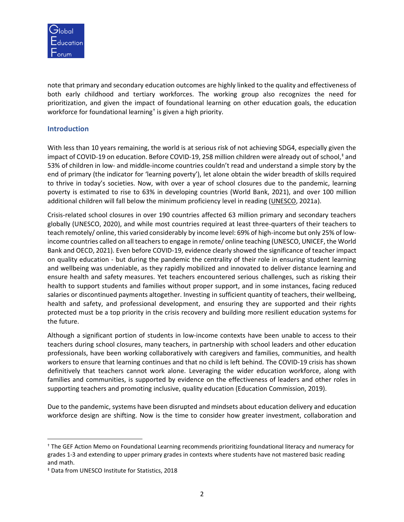

note that primary and secondary education outcomes are highly linked to the quality and effectiveness of both early childhood and tertiary workforces. The working group also recognizes the need for prioritization, and given the impact of foundational learning on other education goals, the education workforce for foundational learning† is given a high priority.

# **Introduction**

With less than 10 years remaining, the world is at serious risk of not achieving SDG4, especially given the impact of COVID-19 on education. Before COVID-19, 258 million children were already out of school, ‡ and 53% of children in low- and middle-income countries couldn't read and understand a simple story by the end of primary (the indicator for 'learning poverty'), let alone obtain the wider breadth of skills required to thrive in today's societies. Now, with over a year of school closures due to the pandemic, learning poverty is estimated to rise to 63% in developing countries (World Bank, 2021), and over 100 million additional children will fall below the minimum proficiency level in reading [\(UNESCO,](https://unesdoc.unesco.org/ark:/48223/pf0000376984) 2021a).

Crisis-related school closures in over 190 countries affected 63 million primary and secondary teachers globally (UNESCO, 2020), and while most countries required at least three-quarters of their teachers to teach remotely/ online, this varied considerably by income level: 69% of high-income but only 25% of lowincome countries called on all teachers to engage in remote/ online teaching (UNESCO, UNICEF, the World Bank and OECD, 2021). Even before COVID-19, evidence clearly showed the significance of teacher impact on quality education - but during the pandemic the centrality of their role in ensuring student learning and wellbeing was undeniable, as they rapidly mobilized and innovated to deliver distance learning and ensure health and safety measures. Yet teachers encountered serious challenges, such as risking their health to support students and families without proper support, and in some instances, facing reduced salaries or discontinued payments altogether. Investing in sufficient quantity of teachers, their wellbeing, health and safety, and professional development, and ensuring they are supported and their rights protected must be a top priority in the crisis recovery and building more resilient education systems for the future.

Although a significant portion of students in low-income contexts have been unable to access to their teachers during school closures, many teachers, in partnership with school leaders and other education professionals, have been working collaboratively with caregivers and families, communities, and health workers to ensure that learning continues and that no child is left behind. The COVID-19 crisis has shown definitively that teachers cannot work alone. Leveraging the wider education workforce, along with families and communities, is supported by evidence on the effectiveness of leaders and other roles in supporting teachers and promoting inclusive, quality education (Education Commission, 2019).

Due to the pandemic, systems have been disrupted and mindsets about education delivery and education workforce design are shifting. Now is the time to consider how greater investment, collaboration and

<sup>†</sup> The GEF Action Memo on Foundational Learning recommends prioritizing foundational literacy and numeracy for grades 1-3 and extending to upper primary grades in contexts where students have not mastered basic reading and math.

<sup>‡</sup> Data from UNESCO Institute for Statistics, 2018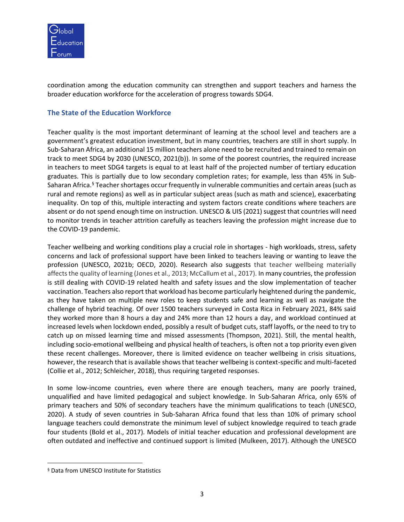

coordination among the education community can strengthen and support teachers and harness the broader education workforce for the acceleration of progress towards SDG4.

# **The State of the Education Workforce**

Teacher quality is the most important determinant of learning at the school level and teachers are a government's greatest education investment, but in many countries, teachers are still in short supply. In Sub-Saharan Africa, an additional 15 million teachers alone need to be recruited and trained to remain on track to meet SDG4 by 2030 (UNESCO, 2021(b)). In some of the poorest countries, the required increase in teachers to meet SDG4 targets is equal to at least half of the projected number of tertiary education graduates. This is partially due to low secondary completion rates; for example, less than 45% in Sub-Saharan Africa.<sup>§</sup> Teacher shortages occur frequently in vulnerable communities and certain areas (such as rural and remote regions) as well as in particular subject areas (such as math and science), exacerbating inequality. On top of this, multiple interacting and system factors create conditions where teachers are absent or do not spend enough time on instruction. UNESCO & UIS (2021) suggest that countries will need to monitor trends in teacher attrition carefully as teachers leaving the profession might increase due to the COVID-19 pandemic.

Teacher wellbeing and working conditions play a crucial role in shortages - high workloads, stress, safety concerns and lack of professional support have been linked to teachers leaving or wanting to leave the profession (UNESCO, 2021b; OECD, 2020). Research also suggests that teacher wellbeing materially affects the quality of learning (Jones et al., 2013; McCallum et al., 2017). In many countries, the profession is still dealing with COVID-19 related health and safety issues and the slow implementation of teacher vaccination. Teachers also report that workload has become particularly heightened during the pandemic, as they have taken on multiple new roles to keep students safe and learning as well as navigate the challenge of hybrid teaching. Of over 1500 teachers surveyed in Costa Rica in February 2021, 84% said they worked more than 8 hours a day and 24% more than 12 hours a day, and workload continued at increased levels when lockdown ended, possibly a result of budget cuts, staff layoffs, or the need to try to catch up on missed learning time and missed assessments (Thompson, 2021). Still, the mental health, including socio-emotional wellbeing and physical health of teachers, is often not a top priority even given these recent challenges. Moreover, there is limited evidence on teacher wellbeing in crisis situations, however, the research that is available shows that teacher wellbeing is context-specific and multi-faceted (Collie et al., 2012; Schleicher, 2018), thus requiring targeted responses.

In some low-income countries, even where there are enough teachers, many are poorly trained, unqualified and have limited pedagogical and subject knowledge. In Sub-Saharan Africa, only 65% of primary teachers and 50% of secondary teachers have the minimum qualifications to teach (UNESCO, 2020). A study of seven countries in Sub-Saharan Africa found that less than 10% of primary school language teachers could demonstrate the minimum level of subject knowledge required to teach grade four students (Bold et al., 2017). Models of initial teacher education and professional development are often outdated and ineffective and continued support is limited (Mulkeen, 2017). Although the UNESCO

<sup>§</sup> Data from UNESCO Institute for Statistics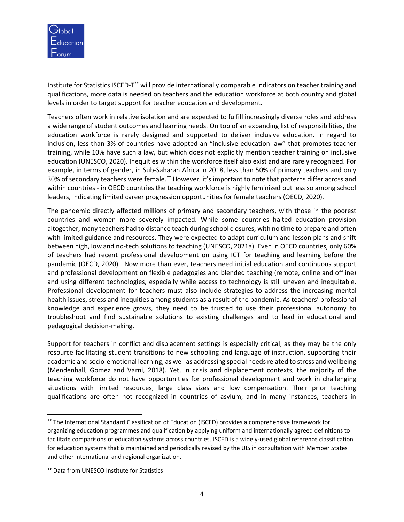

Institute for Statistics ISCED-T<sup>\*\*</sup> will provide internationally comparable indicators on teacher training and qualifications, more data is needed on teachers and the education workforce at both country and global levels in order to target support for teacher education and development.

Teachers often work in relative isolation and are expected to fulfill increasingly diverse roles and address a wide range of student outcomes and learning needs. On top of an expanding list of responsibilities, the education workforce is rarely designed and supported to deliver inclusive education. In regard to inclusion, less than 3% of countries have adopted an "inclusive education law" that promotes teacher training, while 10% have such a law, but which does not explicitly mention teacher training on inclusive education (UNESCO, 2020). Inequities within the workforce itself also exist and are rarely recognized. For example, in terms of gender, in Sub-Saharan Africa in 2018, less than 50% of primary teachers and only 30% of secondary teachers were female.<sup>++</sup> However, it's important to note that patterns differ across and within countries - in OECD countries the teaching workforce is highly feminized but less so among school leaders, indicating limited career progression opportunities for female teachers (OECD, 2020).

The pandemic directly affected millions of primary and secondary teachers, with those in the poorest countries and women more severely impacted. While some countries halted education provision altogether, many teachers had to distance teach during school closures, with no time to prepare and often with limited guidance and resources. They were expected to adapt curriculum and lesson plans and shift between high, low and no-tech solutions to teaching (UNESCO, 2021a). Even in OECD countries, only 60% of teachers had recent professional development on using ICT for teaching and learning before the pandemic (OECD, 2020). Now more than ever, teachers need initial education and continuous support and professional development on flexible pedagogies and blended teaching (remote, online and offline) and using different technologies, especially while access to technology is still uneven and inequitable. Professional development for teachers must also include strategies to address the increasing mental health issues, stress and inequities among students as a result of the pandemic. As teachers' professional knowledge and experience grows, they need to be trusted to use their professional autonomy to troubleshoot and find sustainable solutions to existing challenges and to lead in educational and pedagogical decision-making.

Support for teachers in conflict and displacement settings is especially critical, as they may be the only resource facilitating student transitions to new schooling and language of instruction, supporting their academic and socio-emotional learning, as well as addressing special needs related to stress and wellbeing (Mendenhall, Gomez and Varni, 2018). Yet, in crisis and displacement contexts, the majority of the teaching workforce do not have opportunities for professional development and work in challenging situations with limited resources, large class sizes and low compensation. Their prior teaching qualifications are often not recognized in countries of asylum, and in many instances, teachers in

<sup>\*\*</sup> The International Standard Classification of Education (ISCED) provides a comprehensive framework for organizing education programmes and qualification by applying uniform and internationally agreed definitions to facilitate comparisons of education systems across countries. ISCED is a widely-used global reference classification for education systems that is maintained and periodically revised by the UIS in consultation with Member States and other international and regional organization.

<sup>††</sup> Data from UNESCO Institute for Statistics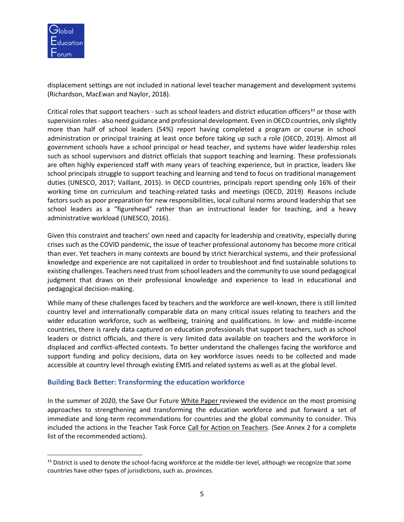

displacement settings are not included in national level teacher management and development systems (Richardson, MacEwan and Naylor, 2018).

Critical roles that support teachers - such as school leaders and district education officers<sup>##</sup> or those with supervision roles- also need guidance and professional development. Even in OECD countries, only slightly more than half of school leaders (54%) report having completed a program or course in school administration or principal training at least once before taking up such a role (OECD, 2019). Almost all government schools have a school principal or head teacher, and systems have wider leadership roles such as school supervisors and district officials that support teaching and learning. These professionals are often highly experienced staff with many years of teaching experience, but in practice, leaders like school principals struggle to support teaching and learning and tend to focus on traditional management duties (UNESCO, 2017; Vaillant, 2015). In OECD countries, principals report spending only 16% of their working time on curriculum and teaching-related tasks and meetings (OECD, 2019). Reasons include factors such as poor preparation for new responsibilities, local cultural norms around leadership that see school leaders as a "figurehead" rather than an instructional leader for teaching, and a heavy administrative workload (UNESCO, 2016).

Given this constraint and teachers' own need and capacity for leadership and creativity, especially during crises such as the COVID pandemic, the issue of teacher professional autonomy has become more critical than ever. Yet teachers in many contexts are bound by strict hierarchical systems, and their professional knowledge and experience are not capitalized in order to troubleshoot and find sustainable solutions to existing challenges. Teachers need trust from school leaders and the community to use sound pedagogical judgment that draws on their professional knowledge and experience to lead in educational and pedagogical decision-making.

While many of these challenges faced by teachers and the workforce are well-known, there is still limited country level and internationally comparable data on many critical issues relating to teachers and the wider education workforce, such as wellbeing, training and qualifications. In low- and middle-income countries, there is rarely data captured on education professionals that support teachers, such as school leaders or district officials, and there is very limited data available on teachers and the workforce in displaced and conflict-affected contexts. To better understand the challenges facing the workforce and support funding and policy decisions, data on key workforce issues needs to be collected and made accessible at country level through existing EMIS and related systems as well as at the global level.

# **Building Back Better: Transforming the education workforce**

In the summer of 2020, the Save Our Future [White Paper](https://saveourfuture.world/white-paper/) reviewed the evidence on the most promising approaches to strengthening and transforming the education workforce and put forward a set of immediate and long-term recommendations for countries and the global community to consider. This included the actions in the Teacher Task Force [Call for Action on Teachers.](https://teachertaskforce.org/knowledge-hub/response-covid-19-outbreak-call-action-teachers-0) (See Annex 2 for a complete list of the recommended actions).

<sup>‡‡</sup> District is used to denote the school-facing workforce at the middle-tier level, although we recognize that some countries have other types of jurisdictions, such as. provinces.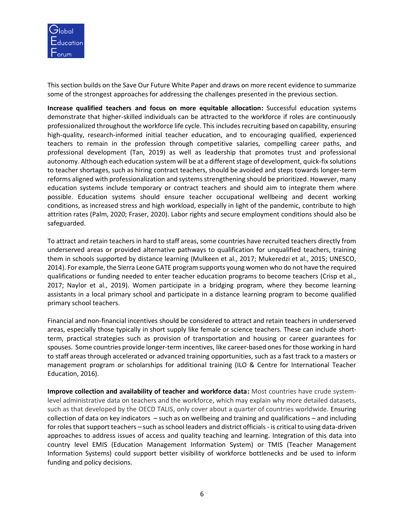

This section builds on the Save Our Future White Paper and draws on more recent evidence to summarize some of the strongest approaches for addressing the challenges presented in the previous section.

**Increase qualified teachers and focus on more equitable allocation:** Successful education systems demonstrate that higher-skilled individuals can be attracted to the workforce if roles are continuously professionalized throughout the workforce life cycle. This includes recruiting based on capability, ensuring high-quality, research-informed initial teacher education, and to encouraging qualified, experienced teachers to remain in the profession through competitive salaries, compelling career paths, and professional development (Tan, 2019) as well as leadership that promotes trust and professional autonomy. Although each education system will be at a different stage of development, quick-fix solutions to teacher shortages, such as hiring contract teachers, should be avoided and steps towards longer-term reforms aligned with professionalization and systems strengthening should be prioritized. However, many education systems include temporary or contract teachers and should aim to integrate them where possible. Education systems should ensure teacher occupational wellbeing and decent working conditions, as increased stress and high workload, especially in light of the pandemic, contribute to high attrition rates (Palm, 2020; Fraser, 2020). Labor rights and secure employment conditions should also be safeguarded.

To attract and retain teachers in hard to staff areas, some countries have recruited teachers directly from underserved areas or provided alternative pathways to qualification for unqualified teachers, training them in schools supported by distance learning (Mulkeen et al., 2017; Mukeredzi et al., 2015; UNESCO, 2014). For example, the Sierra Leone GATE program supports young women who do not have the required qualifications or funding needed to enter teacher education programs to become teachers (Crisp et al., 2017; Naylor et al., 2019). Women participate in a bridging program, where they become learning assistants in a local primary school and participate in a distance learning program to become qualified primary school teachers.

Financial and non-financial incentives should be considered to attract and retain teachers in underserved areas, especially those typically in short supply like female or science teachers. These can include shortterm, practical strategies such as provision of transportation and housing or career guarantees for spouses. Some countries provide longer-term incentives, like career-based onesfor those working in hard to staff areas through accelerated or advanced training opportunities, such as a fast track to a masters or management program or scholarships for additional training (ILO & Centre for International Teacher Education, 2016).

**Improve collection and availability of teacher and workforce data:** Most countries have crude systemlevel administrative data on teachers and the workforce, which may explain why more detailed datasets, such as that developed by the OECD TALIS, only cover about a quarter of countries worldwide. Ensuring collection of data on key indicators – such as on wellbeing and training and qualifications – and including for roles that support teachers – such as school leaders and district officials - is critical to using data-driven approaches to address issues of access and quality teaching and learning. Integration of this data into country level EMIS (Education Management Information System) or TMIS (Teacher Management Information Systems) could support better visibility of workforce bottlenecks and be used to inform funding and policy decisions.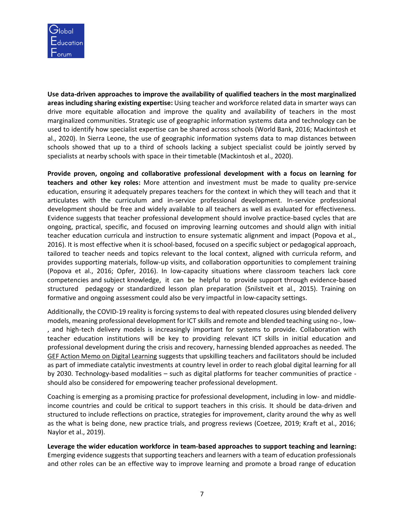

**Use data-driven approaches to improve the availability of qualified teachers in the most marginalized areas including sharing existing expertise:** Using teacher and workforce related data in smarter ways can drive more equitable allocation and improve the quality and availability of teachers in the most marginalized communities. Strategic use of geographic information systems data and technology can be used to identify how specialist expertise can be shared across schools (World Bank, 2016; Mackintosh et al., 2020). In Sierra Leone, the use of geographic information systems data to map distances between schools showed that up to a third of schools lacking a subject specialist could be jointly served by specialists at nearby schools with space in their timetable (Mackintosh et al., 2020).

**Provide proven, ongoing and collaborative professional development with a focus on learning for teachers and other key roles:** More attention and investment must be made to quality pre-service education, ensuring it adequately prepares teachers for the context in which they will teach and that it articulates with the curriculum and in-service professional development. In-service professional development should be free and widely available to all teachers as well as evaluated for effectiveness. Evidence suggests that teacher professional development should involve practice-based cycles that are ongoing, practical, specific, and focused on improving learning outcomes and should align with initial teacher education curricula and instruction to ensure systematic alignment and impact (Popova et al., 2016). It is most effective when it is school-based, focused on a specific subject or pedagogical approach, tailored to teacher needs and topics relevant to the local context, aligned with curricula reform, and provides supporting materials, follow-up visits, and collaboration opportunities to complement training (Popova et al., 2016; Opfer, 2016). In low-capacity situations where classroom teachers lack core competencies and subject knowledge, it can be helpful to provide support through evidence-based structured pedagogy or standardized lesson plan preparation (Snilstveit et al., 2015). Training on formative and ongoing assessment could also be very impactful in low-capacity settings.

Additionally, the COVID-19 reality is forcing systems to deal with repeated closures using blended delivery models, meaning professional development for ICT skills and remote and blended teaching using no-, low- , and high-tech delivery models is increasingly important for systems to provide. Collaboration with teacher education institutions will be key to providing relevant ICT skills in initial education and professional development during the crisis and recovery, harnessing blended approaches as needed. The [GEF Action Memo on Digital Learning](https://educationcommission.org/wp-content/uploads/2021/06/Background-Document4-Digital-Learning.pdf) suggests that upskilling teachers and facilitators should be included as part of immediate catalytic investments at country level in order to reach global digital learning for all by 2030. Technology-based modalities – such as digital platforms for teacher communities of practice should also be considered for empowering teacher professional development.

Coaching is emerging as a promising practice for professional development, including in low- and middleincome countries and could be critical to support teachers in this crisis. It should be data-driven and structured to include reflections on practice, strategies for improvement, clarity around the why as well as the what is being done, new practice trials, and progress reviews (Coetzee, 2019; Kraft et al., 2016; Naylor et al., 2019).

**Leverage the wider education workforce in team-based approaches to support teaching and learning:** Emerging evidence suggests that supporting teachers and learners with a team of education professionals and other roles can be an effective way to improve learning and promote a broad range of education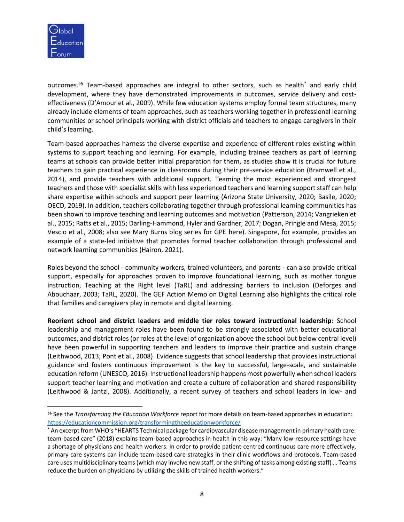

outcomes. §§ Team-based approaches are integral to other sectors, such as health\* and early child development, where they have demonstrated improvements in outcomes, service delivery and costeffectiveness (D'Amour et al., 2009). While few education systems employ formal team structures, many already include elements of team approaches, such as teachers working together in professional learning communities or school principals working with district officials and teachers to engage caregivers in their child's learning.

Team-based approaches harness the diverse expertise and experience of different roles existing within systems to support teaching and learning. For example, including trainee teachers as part of learning teams at schools can provide better initial preparation for them, as studies show it is crucial for future teachers to gain practical experience in classrooms during their pre-service education (Bramwell et al., 2014), and provide teachers with additional support. Teaming the most experienced and strongest teachers and those with specialist skills with less experienced teachers and learning support staff can help share expertise within schools and support peer learning (Arizona State University, 2020; Basile, 2020; OECD, 2019). In addition, teachers collaborating together through professional learning communities has been shown to improve teaching and learning outcomes and motivation (Patterson, 2014; Vangrieken et al., 2015; Ratts et al., 2015; Darling-Hammond, Hyler and Gardner, 2017; Dogan, Pringle and Mesa, 2015; Vescio et al., 2008; also see Mary Burns blog series for GPE [here\)](https://www.globalpartnership.org/users/mburns). Singapore, for example, provides an example of a state-led initiative that promotes formal teacher collaboration through professional and network learning communities (Hairon, 2021).

Roles beyond the school - community workers, trained volunteers, and parents - can also provide critical support, especially for approaches proven to improve foundational learning, such as mother tongue instruction, Teaching at the Right level (TaRL) and addressing barriers to inclusion (Deforges and Abouchaar, 2003; TaRL, 2020). The [GEF Action Memo on Digital Learning](https://educationcommission.org/wp-content/uploads/2021/06/Background-Document4-Digital-Learning.pdf) also highlights the critical role that families and caregivers play in remote and digital learning.

**Reorient school and district leaders and middle tier roles toward instructional leadership:** School leadership and management roles have been found to be strongly associated with better educational outcomes, and district roles (or roles at the level of organization above the school but below central level) have been powerful in supporting teachers and leaders to improve their practice and sustain change (Leithwood, 2013; Pont et al., 2008). Evidence suggests that school leadership that provides instructional guidance and fosters continuous improvement is the key to successful, large-scale, and sustainable education reform (UNESCO, 2016). Instructional leadership happens most powerfully when school leaders support teacher learning and motivation and create a culture of collaboration and shared responsibility (Leithwood & Jantzi, 2008). Additionally, a recent survey of teachers and school leaders in low- and

<sup>§§</sup> See the *Transforming the Education Workforce* report for more details on team-based approaches in education: <https://educationcommission.org/transformingtheeducationworkforce/>

<sup>\*</sup> An excerpt from WHO's "HEARTS Technical package for cardiovascular disease management in primary health care: team-based care" (2018) explains team-based approaches in health in this way: "Many low-resource settings have a shortage of physicians and health workers. In order to provide patient-centred continuous care more effectively, primary care systems can include team-based care strategics in their clinic workflows and protocols. Team-based care uses multidisciplinary teams (which may involve new staff, or the shifting of tasks among existing staff) … Teams reduce the burden on physicians by utilizing the skills of trained health workers."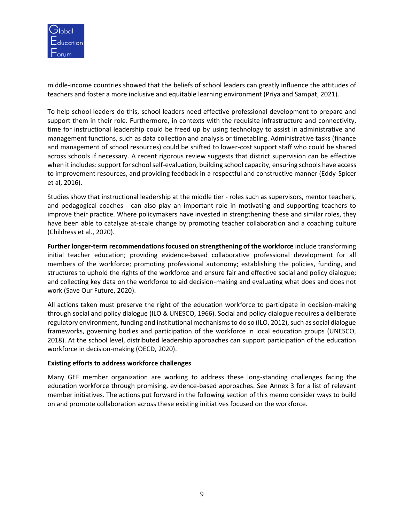

middle-income countries showed that the beliefs of school leaders can greatly influence the attitudes of teachers and foster a more inclusive and equitable learning environment (Priya and Sampat, 2021).

To help school leaders do this, school leaders need effective professional development to prepare and support them in their role. Furthermore, in contexts with the requisite infrastructure and connectivity, time for instructional leadership could be freed up by using technology to assist in administrative and management functions, such as data collection and analysis or timetabling. Administrative tasks (finance and management of school resources) could be shifted to lower-cost support staff who could be shared across schools if necessary. A recent rigorous review suggests that district supervision can be effective when it includes: support for school self-evaluation, building school capacity, ensuring schools have access to improvement resources, and providing feedback in a respectful and constructive manner (Eddy-Spicer et al, 2016).

Studies show that instructional leadership at the middle tier - roles such as supervisors, mentor teachers, and pedagogical coaches - can also play an important role in motivating and supporting teachers to improve their practice. Where policymakers have invested in strengthening these and similar roles, they have been able to catalyze at-scale change by promoting teacher collaboration and a coaching culture (Childress et al., 2020).

**Further longer-term recommendations focused on strengthening of the workforce** include transforming initial teacher education; providing evidence-based collaborative professional development for all members of the workforce; promoting professional autonomy; establishing the policies, funding, and structures to uphold the rights of the workforce and ensure fair and effective social and policy dialogue; and collecting key data on the workforce to aid decision-making and evaluating what does and does not work (Save Our Future, 2020).

All actions taken must preserve the right of the education workforce to participate in decision-making through social and policy dialogue (ILO & UNESCO, 1966). Social and policy dialogue requires a deliberate regulatory environment, funding and institutional mechanisms to do so (ILO, 2012), such as social dialogue frameworks, governing bodies and participation of the workforce in local education groups (UNESCO, 2018). At the school level, distributed leadership approaches can support participation of the education workforce in decision-making (OECD, 2020).

### **Existing efforts to address workforce challenges**

Many GEF member organization are working to address these long-standing challenges facing the education workforce through promising, evidence-based approaches. See Annex 3 for a list of relevant member initiatives. The actions put forward in the following section of this memo consider ways to build on and promote collaboration across these existing initiatives focused on the workforce.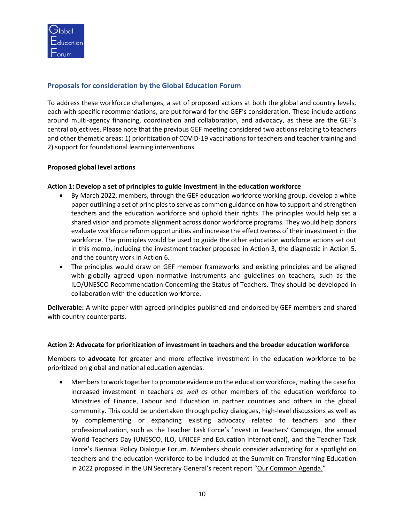

# **Proposals for consideration by the Global Education Forum**

To address these workforce challenges, a set of proposed actions at both the global and country levels, each with specific recommendations, are put forward for the GEF's consideration. These include actions around multi-agency financing, coordination and collaboration, and advocacy, as these are the GEF's central objectives. Please note that the previous GEF meeting considered two actions relating to teachers and other thematic areas: 1) prioritization of COVID-19 vaccinations for teachers and teacher training and 2) support for foundational learning interventions.

## **Proposed global level actions**

## **Action 1: Develop a set of principles to guide investment in the education workforce**

- By March 2022, members, through the GEF education workforce working group, develop a white paper outlining a set of principles to serve as common guidance on how to support and strengthen teachers and the education workforce and uphold their rights. The principles would help set a shared vision and promote alignment across donor workforce programs. They would help donors evaluate workforce reform opportunities and increase the effectiveness of their investment in the workforce. The principles would be used to guide the other education workforce actions set out in this memo, including the investment tracker proposed in Action 3, the diagnostic in Action 5, and the country work in Action 6.
- The principles would draw on GEF member frameworks and existing principles and be aligned with globally agreed upon normative instruments and guidelines on teachers, such as the [ILO/UNESCO Recommendation Concerning the Status of Teachers.](http://portal.unesco.org/en/ev.php-URL_ID=13084&URL_DO=DO_TOPIC&URL_SECTION=201.html) They should be developed in collaboration with the education workforce.

**Deliverable:** A white paper with agreed principles published and endorsed by GEF members and shared with country counterparts.

### **Action 2: Advocate for prioritization of investment in teachers and the broader education workforce**

Members to **advocate** for greater and more effective investment in the education workforce to be prioritized on global and national education agendas.

• Members to work together to promote evidence on the education workforce, making the case for increased investment in teachers *as well as* other members of the education workforce to Ministries of Finance, Labour and Education in partner countries and others in the global community. This could be undertaken through policy dialogues, high-level discussions as well as by complementing or expanding existing advocacy related to teachers and their professionalization, such as the Teacher Task Force's 'Invest in Teachers' Campaign, the annual World Teachers Day (UNESCO, ILO, UNICEF and Education International), and the Teacher Task Force's Biennial Policy Dialogue Forum. Members should consider advocating for a spotlight on teachers and the education workforce to be included at the Summit on Transforming Education in 2022 proposed in the UN Secretary General's recent report "[Our Common Agenda.](https://www.un.org/en/content/common-agenda-report/assets/pdf/Common_Agenda_Report_English.pdf)"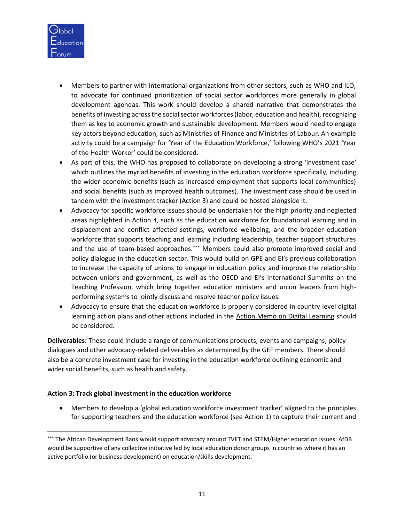

- Members to partner with international organizations from other sectors, such as WHO and ILO, to advocate for continued prioritization of social sector workforces more generally in global development agendas. This work should develop a shared narrative that demonstrates the benefits of investing acrossthe social sector workforces(labor, education and health), recognizing them as key to economic growth and sustainable development. Members would need to engage key actors beyond education, such as Ministries of Finance and Ministries of Labour. An example activity could be a campaign for 'Year of the Education Workforce,' following WHO's 2021 'Year of the Health Worker' could be considered.
- As part of this, the WHO has proposed to collaborate on developing a strong 'investment case' which outlines the myriad benefits of investing in the education workforce specifically, including the wider economic benefits (such as increased employment that supports local communities) and social benefits (such as improved health outcomes). The investment case should be used in tandem with the investment tracker (Action 3) and could be hosted alongside it.
- Advocacy for specific workforce issues should be undertaken for the high priority and neglected areas highlighted in Action 4, such as the education workforce for foundational learning and in displacement and conflict affected settings, workforce wellbeing, and the broader education workforce that supports teaching and learning including leadership, teacher support structures and the use of team-based approaches. \*\*\* Members could also promote improved social and policy dialogue in the education sector. This would build on GPE and EI's previous collaboration to increase the capacity of unions to engage in education policy and improve the relationship between unions and government, as well as the OECD and EI's International Summits on the Teaching Profession, which bring together education ministers and union leaders from highperforming systems to jointly discuss and resolve teacher policy issues.
- Advocacy to ensure that the education workforce is properly considered in country level digital learning action plans and other actions included in the [Action Memo on Digital Learning](https://educationcommission.org/wp-content/uploads/2021/06/Background-Document4-Digital-Learning.pdf) should be considered.

**Deliverables:** These could include a range of communications products, events and campaigns, policy dialogues and other advocacy-related deliverables as determined by the GEF members. There should also be a concrete investment case for investing in the education workforce outlining economic and wider social benefits, such as health and safety.

### **Action 3: Track global investment in the education workforce**

• Members to develop a 'global education workforce investment tracker' aligned to the principles for supporting teachers and the education workforce (see Action 1) to capture their current and

<sup>\*\*\*</sup> The African Development Bank would support advocacy around TVET and STEM/Higher education issues. AfDB would be supportive of any collective initiative led by local education donor groups in countries where it has an active portfolio (or business development) on education/skills development.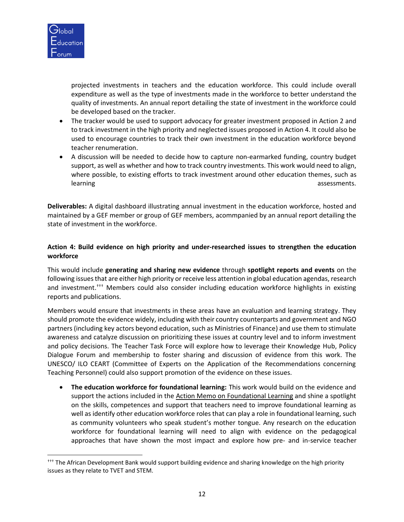

projected investments in teachers and the education workforce. This could include overall expenditure as well as the type of investments made in the workforce to better understand the quality of investments. An annual report detailing the state of investment in the workforce could be developed based on the tracker.

- The tracker would be used to support advocacy for greater investment proposed in Action 2 and to track investment in the high priority and neglected issues proposed in Action 4. It could also be used to encourage countries to track their own investment in the education workforce beyond teacher renumeration.
- A discussion will be needed to decide how to capture non-earmarked funding, country budget support, as well as whether and how to track country investments. This work would need to align, where possible, to existing efforts to track investment around other education themes, such as learning assessments. The contract of the contract of the contract of the contract of the contract of the contract of the contract of the contract of the contract of the contract of the contract of the contract of the cont

**Deliverables:** A digital dashboard illustrating annual investment in the education workforce, hosted and maintained by a GEF member or group of GEF members, acommpanied by an annual report detailing the state of investment in the workforce.

## **Action 4: Build evidence on high priority and under-researched issues to strengthen the education workforce**

This would include **generating and sharing new evidence** through **spotlight reports and events** on the following issues that are either high priority or receive less attention in global education agendas, research and investment.<sup>†††</sup> Members could also consider including education workforce highlights in existing reports and publications.

Members would ensure that investments in these areas have an evaluation and learning strategy. They should promote the evidence widely, including with their country counterparts and government and NGO partners (including key actors beyond education, such as Ministries of Finance) and use them to stimulate awareness and catalyze discussion on prioritizing these issues at country level and to inform investment and policy decisions. The Teacher Task Force will explore how to leverage their Knowledge Hub, Policy Dialogue Forum and membership to foster sharing and discussion of evidence from this work. The UNESCO/ ILO CEART (Committee of Experts on the Application of the Recommendations concerning Teaching Personnel) could also support promotion of the evidence on these issues.

• **The education workforce for foundational learning:** This work would build on the evidence and support the actions included in the [Action Memo on Foundational Learning](https://educationcommission.org/wp-content/uploads/2021/06/Background-Document3-Foundational-Learning.pdf) and shine a spotlight on the skills, competences and support that teachers need to improve foundational learning as well as identify other education workforce roles that can play a role in foundational learning, such as community volunteers who speak student's mother tongue. Any research on the education workforce for foundational learning will need to align with evidence on the pedagogical approaches that have shown the most impact and explore how pre- and in-service teacher

<sup>†††</sup> The African Development Bank would support building evidence and sharing knowledge on the high priority issues as they relate to TVET and STEM.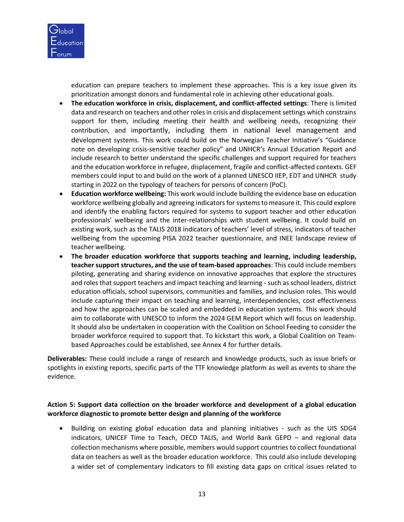

education can prepare teachers to implement these approaches. This is a key issue given its prioritization amongst donors and fundamental role in achieving other educational goals.

- **The education workforce in crisis, displacement, and conflict-affected settings**: There is limited data and research on teachers and other roles in crisis and displacement settings which constrains support for them, including meeting their health and wellbeing needs, recognizing their contribution, and importantly, including them in national level management and development systems. This work could build on the Norwegian Teacher Initiative's "Guidance note on developing crisis-sensitive teacher policy" and UNHCR's Annual Education Report and include research to better understand the specific challenges and support required for teachers and the education workforce in refugee, displacement, fragile and conflict-affected contexts. GEF members could input to and build on the work of a planned UNESCO IIEP, EDT and UNHCR study starting in 2022 on the typology of teachers for persons of concern (PoC).
- **Education workforce wellbeing:** This work would include building the evidence base on education workforce wellbeing globally and agreeing indicators for systems to measure it. This could explore and identify the enabling factors required for systems to support teacher and other education professionals' wellbeing and the inter-relationships with student wellbeing. It could build on existing work, such as the TALIS 2018 indicators of teachers' level of stress, indicators of teacher wellbeing from the upcoming PISA 2022 teacher questionnaire, and INEE landscape review of teacher wellbeing.
- **The broader education workforce that supports teaching and learning, including leadership, teacher support structures, and the use of team-based approaches**: This could include members piloting, generating and sharing evidence on innovative approaches that explore the structures and roles that support teachers and impact teaching and learning - such as school leaders, district education officials, school supervisors, communities and families, and inclusion roles. This would include capturing their impact on teaching and learning, interdependencies, cost effectiveness and how the approaches can be scaled and embedded in education systems. This work should aim to collaborate with UNESCO to inform the 2024 GEM Report which will focus on leadership. It should also be undertaken in cooperation with the Coalition on School Feeding to consider the broader workforce required to support that. To kickstart this work, a Global Coalition on Teambased Approaches could be established, see Annex 4 for further details.

**Deliverables:** These could include a range of research and knowledge products, such as issue briefs or spotlights in existing reports, specific parts of the TTF knowledge platform as well as events to share the evidence.

## **Action 5: Support data collection on the broader workforce and development of a global education workforce diagnostic to promote better design and planning of the workforce**

• Building on existing global education data and planning initiatives - such as the UIS SDG4 indicators, UNICEF Time to Teach, OECD TALIS, and World Bank GEPD – and regional data collection mechanisms where possible, members would support countries to collect foundational data on teachers as well as the broader education workforce. This could also include developing a wider set of complementary indicators to fill existing data gaps on critical issues related to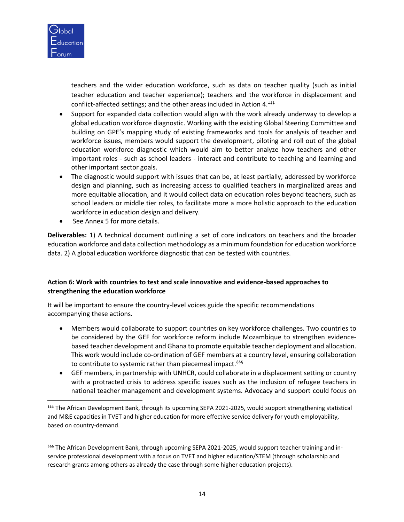

teachers and the wider education workforce, such as data on teacher quality (such as initial teacher education and teacher experience); teachers and the workforce in displacement and conflict-affected settings; and the other areas included in Action 4.<sup>##</sup>

- Support for expanded data collection would align with the work already underway to develop a global education workforce diagnostic. Working with the existing Global Steering Committee and building on GPE's mapping study of existing frameworks and tools for analysis of teacher and workforce issues, members would support the development, piloting and roll out of the global education workforce diagnostic which would aim to better analyze how teachers and other important roles - such as school leaders - interact and contribute to teaching and learning and other important sector goals.
- The diagnostic would support with issues that can be, at least partially, addressed by workforce design and planning, such as increasing access to qualified teachers in marginalized areas and more equitable allocation, and it would collect data on education roles beyond teachers, such as school leaders or middle tier roles, to facilitate more a more holistic approach to the education workforce in education design and delivery.
- See Annex 5 for more details.

**Deliverables:** 1) A technical document outlining a set of core indicators on teachers and the broader education workforce and data collection methodology as a minimum foundation for education workforce data. 2) A global education workforce diagnostic that can be tested with countries.

## **Action 6: Work with countries to test and scale innovative and evidence-based approaches to strengthening the education workforce**

It will be important to ensure the country-level voices guide the specific recommendations accompanying these actions.

- Members would collaborate to support countries on key workforce challenges. Two countries to be considered by the GEF for workforce reform include Mozambique to strengthen evidencebased teacher development and Ghana to promote equitable teacher deployment and allocation. This work would include co-ordination of GEF members at a country level, ensuring collaboration to contribute to systemic rather than piecemeal impact.<sup>§§§</sup>
- GEF members, in partnership with UNHCR, could collaborate in a displacement setting or country with a protracted crisis to address specific issues such as the inclusion of refugee teachers in national teacher management and development systems. Advocacy and support could focus on

§§§§ The African Development Bank, through upcoming SEPA 2021-2025, would support teacher training and inservice professional development with a focus on TVET and higher education/STEM (through scholarship and research grants among others as already the case through some higher education projects).

<sup>‡‡‡</sup> The African Development Bank, through its upcoming SEPA 2021-2025, would support strengthening statistical and M&E capacities in TVET and higher education for more effective service delivery for youth employability, based on country-demand.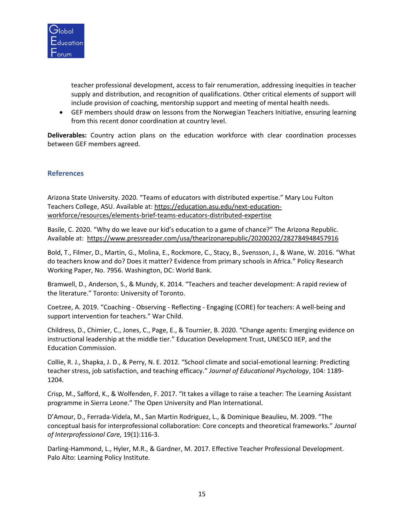

teacher professional development, access to fair renumeration, addressing inequities in teacher supply and distribution, and recognition of qualifications. Other critical elements of support will include provision of coaching, mentorship support and meeting of mental health needs.

• GEF members should draw on lessons from the Norwegian Teachers Initiative, ensuring learning from this recent donor coordination at country level.

**Deliverables:** Country action plans on the education workforce with clear coordination processes between GEF members agreed.

# **References**

Arizona State University. 2020. "Teams of educators with distributed expertise." Mary Lou Fulton Teachers College, ASU. Available at: [https://education.asu.edu/next-education](https://education.asu.edu/next-education-workforce/resources/elements-brief-teams-educators-distributed-expertise)[workforce/resources/elements-brief-teams-educators-distributed-expertise](https://education.asu.edu/next-education-workforce/resources/elements-brief-teams-educators-distributed-expertise)

Basile, C. 2020. "Why do we leave our kid's education to a game of chance?" The Arizona Republic. Available at: <https://www.pressreader.com/usa/thearizonarepublic/20200202/282784948457916>

Bold, T., Filmer, D., Martin, G., Molina, E., Rockmore, C., Stacy, B., Svensson, J., & Wane, W. 2016. "What do teachers know and do? Does it matter? Evidence from primary schools in Africa." Policy Research Working Paper, No. 7956. Washington, DC: World Bank.

Bramwell, D., Anderson, S., & Mundy, K. 2014. "Teachers and teacher development: A rapid review of the literature." Toronto: University of Toronto.

Coetzee, A. 2019. "Coaching - Observing - Reflecting - Engaging (CORE) for teachers: A well-being and support intervention for teachers." War Child.

Childress, D., Chimier, C., Jones, C., Page, E., & Tournier, B. 2020. "Change agents: Emerging evidence on instructional leadership at the middle tier." Education Development Trust, UNESCO IIEP, and the Education Commission.

Collie, R. J., Shapka, J. D., & Perry, N. E. 2012. "School climate and social-emotional learning: Predicting teacher stress, job satisfaction, and teaching efficacy." *Journal of Educational Psychology*, 104: 1189- 1204.

Crisp, M., Safford, K., & Wolfenden, F. 2017. "It takes a village to raise a teacher: The Learning Assistant programme in Sierra Leone." The Open University and Plan International.

D'Amour, D., Ferrada-Videla, M., San Martin Rodriguez, L., & Dominique Beaulieu, M. 2009. "The conceptual basis for interprofessional collaboration: Core concepts and theoretical frameworks." *Journal of Interprofessional Care,* 19(1):116-3.

Darling-Hammond, L., Hyler, M.R., & Gardner, M. 2017. Effective Teacher Professional Development. Palo Alto: Learning Policy Institute.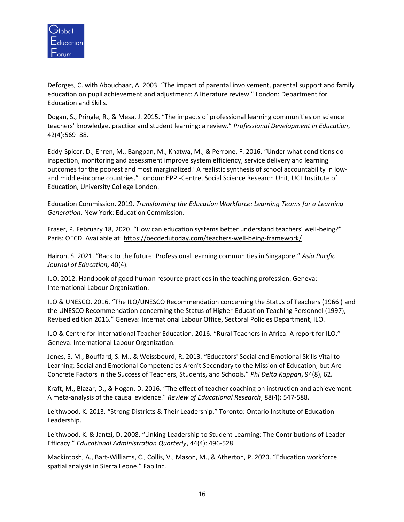

Deforges, C. with Abouchaar, A. 2003. "The impact of parental involvement, parental support and family education on pupil achievement and adjustment: A literature review." London: Department for Education and Skills.

Dogan, S., Pringle, R., & Mesa, J. 2015. "The impacts of professional learning communities on science teachers' knowledge, practice and student learning: a review." *Professional Development in Education*, 42(4):569–88.

Eddy-Spicer, D., Ehren, M., Bangpan, M., Khatwa, M., & Perrone, F. 2016. "Under what conditions do inspection, monitoring and assessment improve system efficiency, service delivery and learning outcomes for the poorest and most marginalized? A realistic synthesis of school accountability in lowand middle-income countries." London: EPPI-Centre, Social Science Research Unit, UCL Institute of Education, University College London.

Education Commission. 2019. *Transforming the Education Workforce: Learning Teams for a Learning Generation*. New York: Education Commission.

Fraser, P. February 18, 2020. "How can education systems better understand teachers' well-being?" Paris: OECD. Available at:<https://oecdedutoday.com/teachers-well-being-framework/>

Hairon, S. 2021. "Back to the future: Professional learning communities in Singapore." *Asia Pacific Journal of Education,* 40(4).

ILO. 2012. Handbook of good human resource practices in the teaching profession. Geneva: International Labour Organization.

ILO & UNESCO. 2016. "The ILO/UNESCO Recommendation concerning the Status of Teachers (1966 ) and the UNESCO Recommendation concerning the Status of Higher-Education Teaching Personnel (1997), Revised edition 2016." Geneva: International Labour Office, Sectoral Policies Department, ILO.

ILO & Centre for International Teacher Education. 2016. "Rural Teachers in Africa: A report for ILO." Geneva: International Labour Organization.

Jones, S. M., Bouffard, S. M., & Weissbourd, R. 2013. "Educators' Social and Emotional Skills Vital to Learning: Social and Emotional Competencies Aren't Secondary to the Mission of Education, but Are Concrete Factors in the Success of Teachers, Students, and Schools." *Phi Delta Kappan*, 94(8), 62.

Kraft, M., Blazar, D., & Hogan, D. 2016. "The effect of teacher coaching on instruction and achievement: A meta-analysis of the causal evidence." *Review of Educational Research*, 88(4): 547-588.

Leithwood, K. 2013. "Strong Districts & Their Leadership." Toronto: Ontario Institute of Education Leadership.

Leithwood, K. & Jantzi, D. 2008. "Linking Leadership to Student Learning: The Contributions of Leader Efficacy." *Educational Administration Quarterly*, 44(4): 496-528.

Mackintosh, A., Bart-Williams, C., Collis, V., Mason, M., & Atherton, P. 2020. "Education workforce spatial analysis in Sierra Leone." Fab Inc.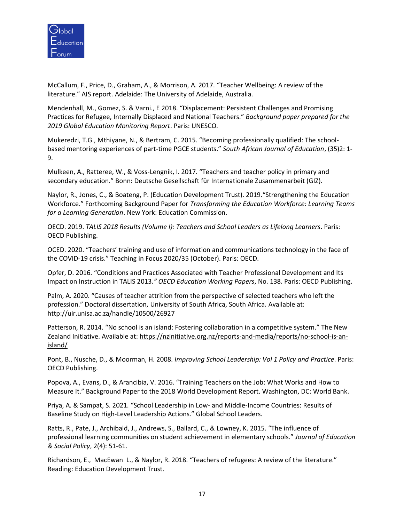

McCallum, F., Price, D., Graham, A., & Morrison, A. 2017. "Teacher Wellbeing: A review of the literature." AIS report. Adelaide: The University of Adelaide, Australia.

Mendenhall, M., Gomez, S. & Varni., E 2018. "Displacement: Persistent Challenges and Promising Practices for Refugee, Internally Displaced and National Teachers." *Background paper prepared for the 2019 Global Education Monitoring Report*. Paris: UNESCO.

Mukeredzi, T.G., Mthiyane, N., & Bertram, C. 2015. "Becoming professionally qualified: The schoolbased mentoring experiences of part-time PGCE students." *South African Journal of Education*, (35)2: 1- 9.

Mulkeen, A., Ratteree, W., & Voss-Lengnik, I. 2017. "Teachers and teacher policy in primary and secondary education." Bonn: Deutsche Gesellschaft für Internationale Zusammenarbeit (GIZ).

Naylor, R., Jones, C., & Boateng, P. (Education Development Trust). 2019."Strengthening the Education Workforce." Forthcoming Background Paper for *Transforming the Education Workforce: Learning Teams for a Learning Generation*. New York: Education Commission.

OECD. 2019. *TALIS 2018 Results (Volume I): Teachers and School Leaders as Lifelong Learners*. Paris: OECD Publishing.

OCED. 2020. "Teachers' training and use of information and communications technology in the face of the COVID-19 crisis." Teaching in Focus 2020/35 (October). Paris: OECD.

Opfer, D. 2016. "Conditions and Practices Associated with Teacher Professional Development and Its Impact on Instruction in TALIS 2013*." OECD Education Working Papers*, No. 138. Paris: OECD Publishing.

Palm, A. 2020. "Causes of teacher attrition from the perspective of selected teachers who left the profession." Doctoral dissertation, University of South Africa, South Africa. Available at: <http://uir.unisa.ac.za/handle/10500/26927>

Patterson, R. 2014. "No school is an island: Fostering collaboration in a competitive system." The New Zealand Initiative. Available at: [https://nzinitiative.org.nz/reports-and-media/reports/no-school-is-an](https://nzinitiative.org.nz/reports-and-media/reports/no-school-is-an-island/)[island/](https://nzinitiative.org.nz/reports-and-media/reports/no-school-is-an-island/)

Pont, B., Nusche, D., & Moorman, H. 2008. *Improving School Leadership: Vol 1 Policy and Practice*. Paris: OECD Publishing.

Popova, A., Evans, D., & Arancibia, V. 2016. "Training Teachers on the Job: What Works and How to Measure It." Background Paper to the 2018 World Development Report. Washington, DC: World Bank.

Priya, A. & Sampat, S. 2021. "School Leadership in Low- and Middle-Income Countries: Results of Baseline Study on High-Level Leadership Actions." Global School Leaders.

Ratts, R., Pate, J., Archibald, J., Andrews, S., Ballard, C., & Lowney, K. 2015. "The influence of professional learning communities on student achievement in elementary schools." *Journal of Education & Social Policy*, 2(4): 51-61.

Richardson, E., MacEwan L., & Naylor, R. 2018. "Teachers of refugees: A review of the literature." Reading: Education Development Trust.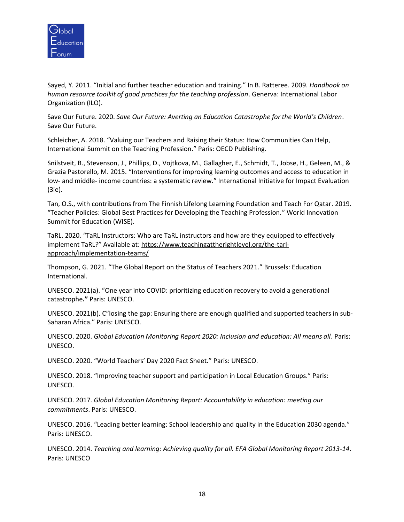

Sayed, Y. 2011. "Initial and further teacher education and training." In B. Ratteree. 2009. *Handbook on human resource toolkit of good practices for the teaching profession*. Generva: International Labor Organization (ILO).

Save Our Future. 2020. *Save Our Future: Averting an Education Catastrophe for the World's Children*. Save Our Future.

Schleicher, A. 2018. "Valuing our Teachers and Raising their Status: How Communities Can Help, International Summit on the Teaching Profession." Paris: OECD Publishing.

Snilstveit, B., Stevenson, J., Phillips, D., Vojtkova, M., Gallagher, E., Schmidt, T., Jobse, H., Geleen, M., & Grazia Pastorello, M. 2015. "Interventions for improving learning outcomes and access to education in low- and middle- income countries: a systematic review." International Initiative for Impact Evaluation (3ie).

Tan, O.S., with contributions from The Finnish Lifelong Learning Foundation and Teach For Qatar. 2019. "Teacher Policies: Global Best Practices for Developing the Teaching Profession." World Innovation Summit for Education (WISE).

TaRL. 2020. "TaRL Instructors: Who are TaRL instructors and how are they equipped to effectively implement TaRL?" Available at: [https://www.teachingattherightlevel.org/the-tarl](https://www.teachingattherightlevel.org/the-tarl-approach/implementation-teams/)[approach/implementation-teams/](https://www.teachingattherightlevel.org/the-tarl-approach/implementation-teams/)

Thompson, G. 2021. "The Global Report on the Status of Teachers 2021." Brussels: Education International.

UNESCO. 2021(a). "One year into COVID: prioritizing education recovery to avoid a generational catastrophe**."** Paris: UNESCO.

UNESCO. 2021(b). C"losing the gap: Ensuring there are enough qualified and supported teachers in sub-Saharan Africa." Paris: UNESCO.

UNESCO. 2020. *Global Education Monitoring Report 2020: Inclusion and education: All means all*. Paris: UNESCO.

UNESCO. 2020. "World Teachers' Day 2020 Fact Sheet." Paris: UNESCO.

UNESCO. 2018. "Improving teacher support and participation in Local Education Groups." Paris: UNESCO.

UNESCO. 2017. *Global Education Monitoring Report: Accountability in education: meeting our commitments*. Paris: UNESCO.

UNESCO. 2016. "Leading better learning: School leadership and quality in the Education 2030 agenda." Paris: UNESCO.

UNESCO. 2014. *Teaching and learning: Achieving quality for all. EFA Global Monitoring Report 2013-14*. Paris: UNESCO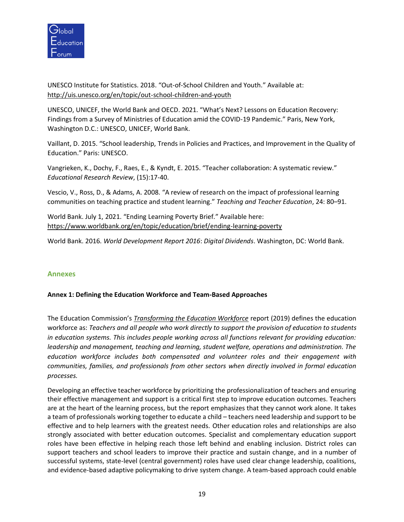

UNESCO Institute for Statistics. 2018. "Out-of-School Children and Youth." Available at: <http://uis.unesco.org/en/topic/out-school-children-and-youth>

UNESCO, UNICEF, the World Bank and OECD. 2021. "What's Next? Lessons on Education Recovery: Findings from a Survey of Ministries of Education amid the COVID-19 Pandemic." Paris, New York, Washington D.C.: UNESCO, UNICEF, World Bank.

Vaillant, D. 2015. "School leadership, Trends in Policies and Practices, and Improvement in the Quality of Education." Paris: UNESCO.

Vangrieken, K., Dochy, F., Raes, E., & Kyndt, E. 2015. "Teacher collaboration: A systematic review." *Educational Research Review*, (15):17-40.

Vescio, V., Ross, D., & Adams, A. 2008. "A review of research on the impact of professional learning communities on teaching practice and student learning." *Teaching and Teacher Education*, 24: 80–91.

World Bank. July 1, 2021. "Ending Learning Poverty Brief." Available here: <https://www.worldbank.org/en/topic/education/brief/ending-learning-poverty>

World Bank. 2016. *World Development Report 2016*: *Digital Dividends*. Washington, DC: World Bank.

### **Annexes**

### **Annex 1: Defining the Education Workforce and Team-Based Approaches**

The Education Commission's *[Transforming the Education Workforce](https://educationcommission.org/transformingtheeducationworkforce/)* report (2019) defines the education workforce as: *Teachers and all people who work directly to support the provision of education to students in education systems. This includes people working across all functions relevant for providing education: leadership and management, teaching and learning, student welfare, operations and administration. The education workforce includes both compensated and volunteer roles and their engagement with communities, families, and professionals from other sectors when directly involved in formal education processes.*

Developing an effective teacher workforce by prioritizing the professionalization of teachers and ensuring their effective management and support is a critical first step to improve education outcomes. Teachers are at the heart of the learning process, but the report emphasizes that they cannot work alone. It takes a team of professionals working together to educate a child – teachers need leadership and support to be effective and to help learners with the greatest needs. Other education roles and relationships are also strongly associated with better education outcomes. Specialist and complementary education support roles have been effective in helping reach those left behind and enabling inclusion. District roles can support teachers and school leaders to improve their practice and sustain change, and in a number of successful systems, state-level (central government) roles have used clear change leadership, coalitions, and evidence-based adaptive policymaking to drive system change. A team-based approach could enable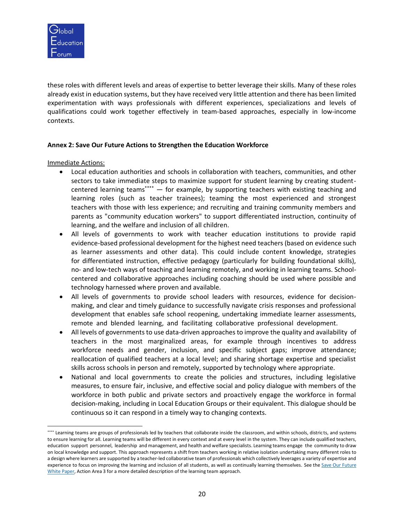

these roles with different levels and areas of expertise to better leverage their skills. Many of these roles already exist in education systems, but they have received very little attention and there has been limited experimentation with ways professionals with different experiences, specializations and levels of qualifications could work together effectively in team-based approaches, especially in low-income contexts.

### **Annex 2: Save Our Future Actions to Strengthen the Education Workforce**

Immediate Actions:

- Local education authorities and schools in collaboration with teachers, communities, and other sectors to take immediate steps to maximize support for student learning by creating studentcentered learning teams\*\*\*\*  $-$  for example, by supporting teachers with existing teaching and learning roles (such as teacher trainees); teaming the most experienced and strongest teachers with those with less experience; and recruiting and training community members and parents as "community education workers" to support differentiated instruction, continuity of learning, and the welfare and inclusion of all children.
- All levels of governments to work with teacher education institutions to provide rapid evidence-based professional development for the highest need teachers (based on evidence such as learner assessments and other data). This could include content knowledge, strategies for differentiated instruction, effective pedagogy (particularly for building foundational skills), no- and low-tech ways of teaching and learning remotely, and working in learning teams. Schoolcentered and collaborative approaches including coaching should be used where possible and technology harnessed where proven and available.
- All levels of governments to provide school leaders with resources, evidence for decisionmaking, and clear and timely guidance to successfully navigate crisis responses and professional development that enables safe school reopening, undertaking immediate learner assessments, remote and blended learning, and facilitating collaborative professional development.
- All levels of governments to use data-driven approaches to improve the quality and availability of teachers in the most marginalized areas, for example through incentives to address workforce needs and gender, inclusion, and specific subject gaps; improve attendance; reallocation of qualified teachers at a local level; and sharing shortage expertise and specialist skills across schools in person and remotely, supported by technology where appropriate.
- National and local governments to create the policies and structures, including legislative measures, to ensure fair, inclusive, and effective social and policy dialogue with members of the workforce in both public and private sectors and proactively engage the workforce in formal decision-making, including in Local Education Groups or their equivalent. This dialogue should be continuous so it can respond in a timely way to changing contexts.

<sup>\*\*\*\*</sup> Learning teams are groups of professionals led by teachers that collaborate inside the classroom, and within schools, districts, and systems to ensure learning for all. Learning teams will be different in every context and at every level in the system. They can include qualified teachers, education support personnel, leadership and management, and health and welfare specialists. Learning teams engage the community to draw on local knowledge and support. This approach represents a shift from teachers working in relative isolation undertaking many different roles to a design where learners are supported by a teacher-led collaborative team of professionals which collectively leverages a variety of expertise and experience to focus on improving the learning and inclusion of all students, as well as continually learning themselves. See the Save Our Future [White Paper,](https://saveourfuture.world/wp-content/uploads/2020/10/Averting-an-Education-Catastrophe-for-the-Worlds-Children_SOF_White-Paper.pdf) Action Area 3 for a more detailed description of the learning team approach.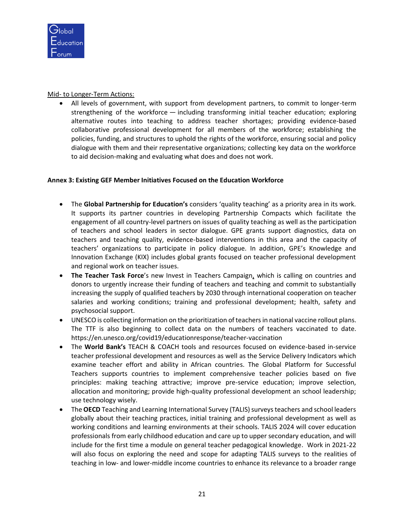

## Mid- to Longer-Term Actions:

• All levels of government, with support from development partners, to commit to longer-term strengthening of the workforce — including transforming initial teacher education; exploring alternative routes into teaching to address teacher shortages; providing evidence-based collaborative professional development for all members of the workforce; establishing the policies, funding, and structures to uphold the rights of the workforce, ensuring social and policy dialogue with them and their representative organizations; collecting key data on the workforce to aid decision-making and evaluating what does and does not work.

## **Annex 3: Existing GEF Member Initiatives Focused on the Education Workforce**

- The **Global Partnership for Education's** considers 'quality teaching' as a priority area in its work. It supports its partner countries in developing Partnership Compacts which facilitate the engagement of all country-level partners on issues of quality teaching as well as the participation of teachers and school leaders in sector dialogue. GPE grants support diagnostics, data on teachers and teaching quality, evidence-based interventions in this area and the capacity of teachers' organizations to participate in policy dialogue. In addition, GPE's Knowledge and Innovation Exchange (KIX) includes global grants focused on teacher professional development and regional work on teacher issues.
- **The Teacher Task Force**'s new [Invest in Teachers Campaign,](https://teachertaskforce.org/invest-teachers-campaign) which is calling on countries and donors to urgently increase their funding of teachers and teaching and commit to substantially increasing the supply of qualified teachers by 2030 through international cooperation on teacher salaries and working conditions; training and professional development; health, safety and psychosocial support.
- UNESCO is collecting information on the prioritization of teachers in national vaccine rollout plans. The TTF is also beginning to collect data on the numbers of teachers vaccinated to date. <https://en.unesco.org/covid19/educationresponse/teacher-vaccination>
- The **World Bank's** TEACH & COACH tools and resources focused on evidence-based in-service teacher professional development and resources as well as the Service Delivery Indicators which examine teacher effort and ability in African countries. The Global Platform for Successful Teachers supports countries to implement comprehensive teacher policies based on five principles: making teaching attractive; improve pre-service education; improve selection, allocation and monitoring; provide high-quality professional development an school leadership; use technology wisely.
- The **OECD** Teaching and Learning International Survey (TALIS) surveys teachers and school leaders globally about their teaching practices, initial training and professional development as well as working conditions and learning environments at their schools. TALIS 2024 will cover education professionals from early childhood education and care up to upper secondary education, and will include for the first time a module on general teacher pedagogical knowledge. Work in 2021-22 will also focus on exploring the need and scope for adapting TALIS surveys to the realities of teaching in low- and lower-middle income countries to enhance its relevance to a broader range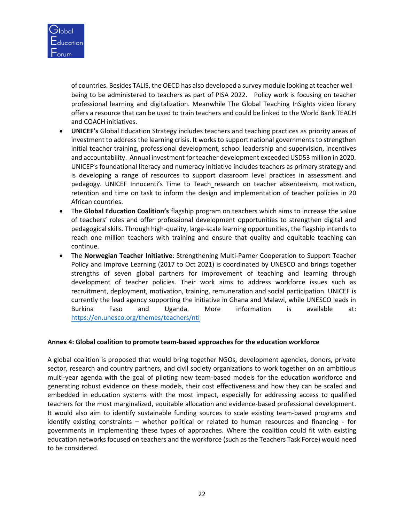

of countries. Besides TALIS, the OECD has also developed a survey module looking at teacher wellbeing to be administered to teachers as part of PISA 2022. Policy work is focusing on teacher professional learning and digitalization. Meanwhile The Global Teaching InSights video library offers a resource that can be used to train teachers and could be linked to the World Bank TEACH and COACH initiatives.

- **UNICEF's** Global Education Strategy includes teachers and teaching practices as priority areas of investment to address the learning crisis. It works to support national governments to strengthen initial teacher training, professional development, school leadership and supervision, incentives and accountability. Annual investment for teacher development exceeded USD53 million in 2020. UNICEF's foundational literacy and numeracy initiative includes teachers as primary strategy and is developing a range of resources to support classroom level practices in assessment and pedagogy. UNICEF Innocenti's Time to Teach research on teacher absenteeism, motivation, retention and time on task to inform the design and implementation of teacher policies in 20 African countries.
- The **Global Education Coalition's** flagship program on teachers which aims to increase the value of teachers' roles and offer professional development opportunities to strengthen digital and pedagogical skills. Through high-quality, large-scale learning opportunities, the flagship intends to reach one million teachers with training and ensure that quality and equitable teaching can continue.
- The **Norwegian Teacher Initiative**: Strengthening Multi-Parner Cooperation to Support Teacher Policy and Improve Learning (2017 to Oct 2021) is coordinated by UNESCO and brings together strengths of seven global partners for improvement of teaching and learning through development of teacher policies. Their work aims to address workforce issues such as recruitment, deployment, motivation, training, remuneration and social participation. UNICEF is currently the lead agency supporting the initiative in Ghana and Malawi, while UNESCO leads in Burkina Faso and Uganda. More information is available at: https://en.unesco.org/themes/teachers/nti

#### **Annex 4: Global coalition to promote team-based approaches for the education workforce**

A global coalition is proposed that would bring together NGOs, development agencies, donors, private sector, research and country partners, and civil society organizations to work together on an ambitious multi-year agenda with the goal of piloting new team-based models for the education workforce and generating robust evidence on these models, their cost effectiveness and how they can be scaled and embedded in education systems with the most impact, especially for addressing access to qualified teachers for the most marginalized, equitable allocation and evidence-based professional development. It would also aim to identify sustainable funding sources to scale existing team-based programs and identify existing constraints – whether political or related to human resources and financing - for governments in implementing these types of approaches. Where the coalition could fit with existing education networks focused on teachers and the workforce (such as the Teachers Task Force) would need to be considered.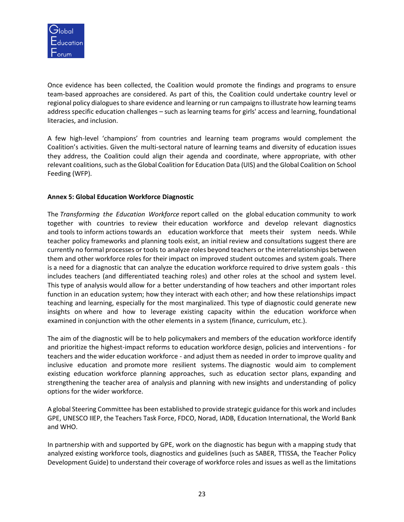

Once evidence has been collected, the Coalition would promote the findings and programs to ensure team-based approaches are considered. As part of this, the Coalition could undertake country level or regional policy dialogues to share evidence and learning or run campaigns to illustrate how learning teams address specific education challenges – such as learning teams for girls' access and learning, foundational literacies, and inclusion.

A few high-level 'champions' from countries and learning team programs would complement the Coalition's activities. Given the multi-sectoral nature of learning teams and diversity of education issues they address, the Coalition could align their agenda and coordinate, where appropriate, with other relevant coalitions, such as the Global Coalition for Education Data (UIS) and the Global Coalition on School Feeding (WFP).

### **Annex 5: Global Education Workforce Diagnostic**

The *Transforming the Education Workforce* report called on the global education community to work together with countries to review their education workforce and develop relevant diagnostics and tools to inform actions towards an education workforce that meets their system needs. While teacher policy frameworks and planning tools exist, an initial review and consultations suggest there are currently no formal processes or tools to analyze roles beyond teachers or the interrelationships between them and other workforce roles for their impact on improved student outcomes and system goals. There is a need for a diagnostic that can analyze the education workforce required to drive system goals - this includes teachers (and differentiated teaching roles) and other roles at the school and system level. This type of analysis would allow for a better understanding of how teachers and other important roles function in an education system; how they interact with each other; and how these relationships impact teaching and learning, especially for the most marginalized. This type of diagnostic could generate new insights on where and how to leverage existing capacity within the education workforce when examined in conjunction with the other elements in a system (finance, curriculum, etc.).

The aim of the diagnostic will be to help policymakers and members of the education workforce identify and prioritize the highest-impact reforms to education workforce design, policies and interventions - for teachers and the wider education workforce - and adjust them as needed in order to improve quality and inclusive education and promote more resilient systems. The diagnostic would aim to complement existing education workforce planning approaches, such as education sector plans, expanding and strengthening the teacher area of analysis and planning with new insights and understanding of policy options for the wider workforce.

A global Steering Committee has been established to provide strategic guidance for this work and includes GPE, UNESCO IIEP, the Teachers Task Force, FDCO, Norad, IADB, Education International, the World Bank and WHO.

In partnership with and supported by GPE, work on the diagnostic has begun with a mapping study that analyzed existing workforce tools, diagnostics and guidelines (such as SABER, TTISSA, the Teacher Policy Development Guide) to understand their coverage of workforce roles and issues as well as the limitations